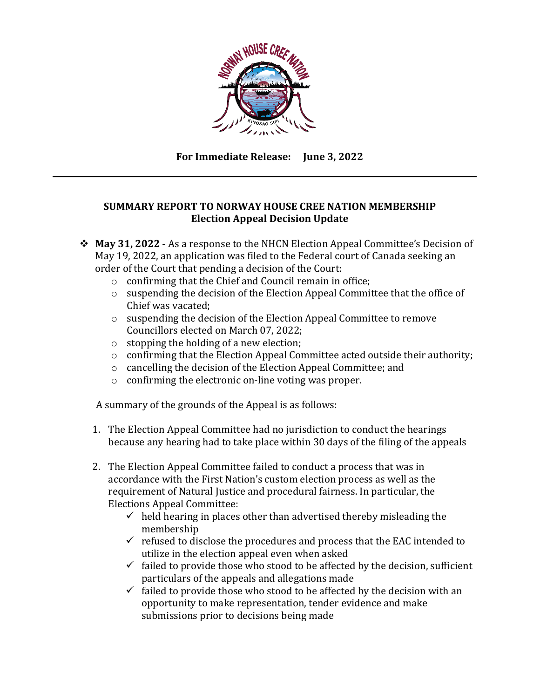

**For Immediate Release: June 3, 2022**

## **SUMMARY REPORT TO NORWAY HOUSE CREE NATION MEMBERSHIP Election Appeal Decision Update**

- ❖ **May 31, 2022** As a response to the NHCN Election Appeal Committee's Decision of May 19, 2022, an application was filed to the Federal court of Canada seeking an order of the Court that pending a decision of the Court:
	- o confirming that the Chief and Council remain in office;
	- o suspending the decision of the Election Appeal Committee that the office of Chief was vacated;
	- o suspending the decision of the Election Appeal Committee to remove Councillors elected on March 07, 2022;
	- o stopping the holding of a new election;
	- o confirming that the Election Appeal Committee acted outside their authority;
	- o cancelling the decision of the Election Appeal Committee; and
	- o confirming the electronic on-line voting was proper.

A summary of the grounds of the Appeal is as follows:

- 1. The Election Appeal Committee had no jurisdiction to conduct the hearings because any hearing had to take place within 30 days of the filing of the appeals
- 2. The Election Appeal Committee failed to conduct a process that was in accordance with the First Nation's custom election process as well as the requirement of Natural Justice and procedural fairness. In particular, the Elections Appeal Committee:
	- $\checkmark$  held hearing in places other than advertised thereby misleading the membership
	- $\checkmark$  refused to disclose the procedures and process that the EAC intended to utilize in the election appeal even when asked
	- $\checkmark$  failed to provide those who stood to be affected by the decision, sufficient particulars of the appeals and allegations made
	- $\checkmark$  failed to provide those who stood to be affected by the decision with an opportunity to make representation, tender evidence and make submissions prior to decisions being made